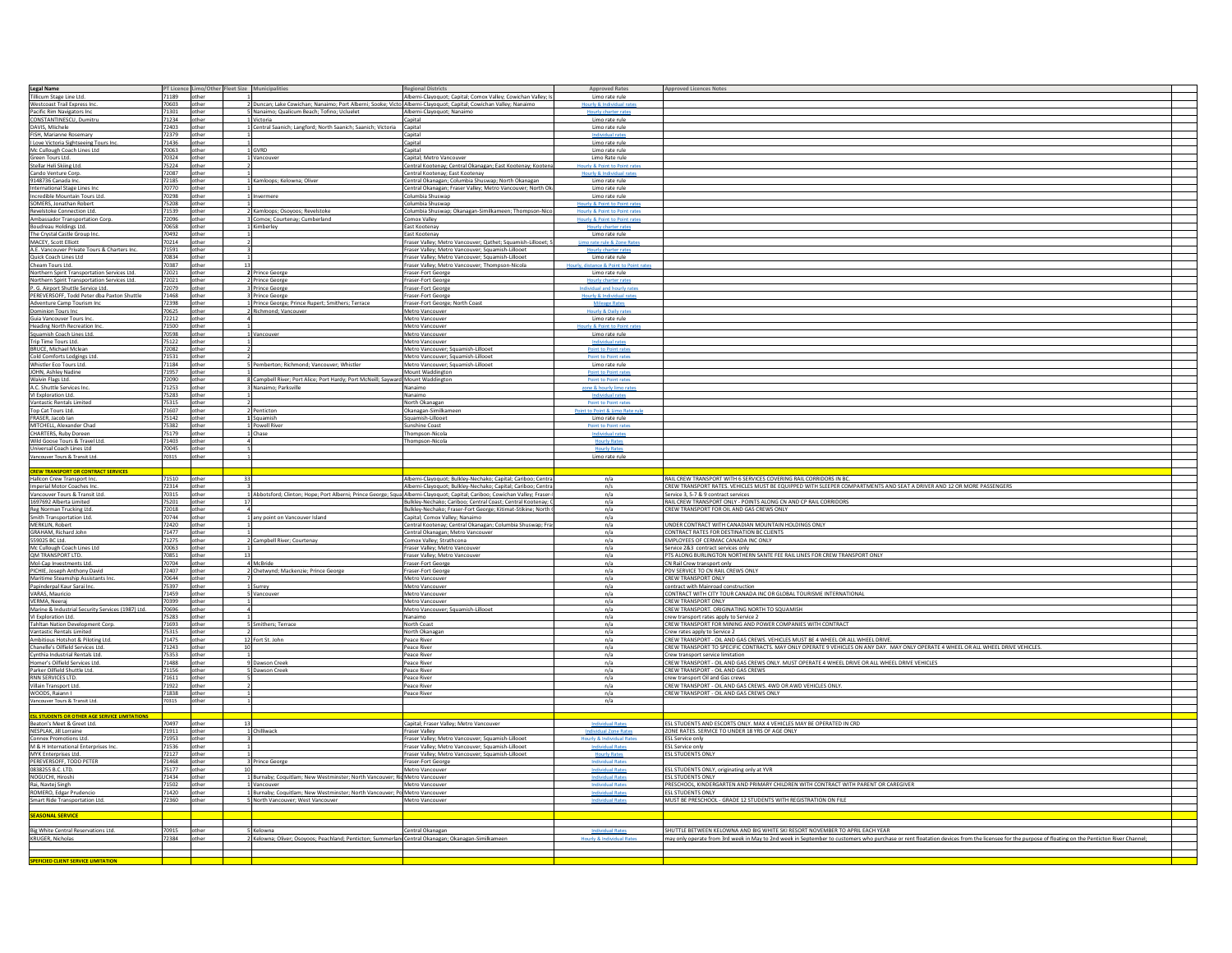| Legal Name                                                                                   |                            |        | PT Licence Limo/Other Fleet Size Municipalities |                                                                                                     | <b>Regional Districts</b>                                                                                                    | <b>Approved Rates</b>                 |                                                                                                                                                                                                   |  |
|----------------------------------------------------------------------------------------------|----------------------------|--------|-------------------------------------------------|-----------------------------------------------------------------------------------------------------|------------------------------------------------------------------------------------------------------------------------------|---------------------------------------|---------------------------------------------------------------------------------------------------------------------------------------------------------------------------------------------------|--|
|                                                                                              |                            |        |                                                 |                                                                                                     |                                                                                                                              | Limo rate rule                        | <b>Approved Licences Notes</b>                                                                                                                                                                    |  |
| Tillicum Stage Line Ltd.<br>Westcoast Trail Express Inc.                                     | 71189 other<br>70603 other |        |                                                 |                                                                                                     | Alberni-Clayoquot; Capital; Comox Valley; Cowichan Valley; I:                                                                |                                       |                                                                                                                                                                                                   |  |
|                                                                                              |                            |        |                                                 |                                                                                                     | 2 Duncan; Lake Cowichan; Nanaimo; Port Alberni; Sooke; Victo Alberni-Clayoquot; Capital; Cowichan Valley; Nanaimo            | lourly & Individua                    |                                                                                                                                                                                                   |  |
| Pacific Rim Navigators Inc                                                                   | 71301                      | other  |                                                 | Nanaimo; Qualicum Beach; Tofino; Ucluelet                                                           | Alberni-Clayoquot; Nanaimo                                                                                                   | Hourly charter ra                     |                                                                                                                                                                                                   |  |
| CONSTANTINESCU, Dumitru                                                                      | 71234 other                |        | 1 Victoria                                      |                                                                                                     | Capital                                                                                                                      | Limo rate rule                        |                                                                                                                                                                                                   |  |
| DAVIS, Mlichele                                                                              | 72403 other                |        |                                                 | 1 Central Saanich; Langford; North Saanich; Saanich; Victoria Capital                               |                                                                                                                              | Limo rate rule                        |                                                                                                                                                                                                   |  |
| FISH, Marianne Rosemary                                                                      | 72379 other                |        |                                                 |                                                                                                     | Capital                                                                                                                      |                                       |                                                                                                                                                                                                   |  |
| I Love Victoria Sightseeing Tours Inc                                                        | 71436 other                |        |                                                 |                                                                                                     | Capital                                                                                                                      | Limo rate rule                        |                                                                                                                                                                                                   |  |
| Mc Cullough Coach Lines Ltd                                                                  | 70063 other                |        | 1 GVRD                                          |                                                                                                     | Capital                                                                                                                      | Limo rate rule                        |                                                                                                                                                                                                   |  |
| Green Tours Ltd.                                                                             | 70324 other                |        | 1 Vancouver                                     |                                                                                                     | Capital; Metro Vancouver                                                                                                     | Limo Rate rule                        |                                                                                                                                                                                                   |  |
| Stellar Heli Skiing Ltd.                                                                     | 75224 other                |        |                                                 |                                                                                                     | Central Kootenay; Central Okanagan; East Kootenay; Kootena                                                                   | Hourly & Point to Point rat           |                                                                                                                                                                                                   |  |
| Cando Venture Corp.                                                                          | 72087 other                |        |                                                 |                                                                                                     | Central Kootenay; East Kootenay                                                                                              | urly & Individua                      |                                                                                                                                                                                                   |  |
| 9148736 Canada Inc.                                                                          | 72185 other                |        | 1 Kamloops; Kelowna; Oliver                     |                                                                                                     | Central Okanagan; Columbia Shuswap; North Okanagan                                                                           | Limo rate rule                        |                                                                                                                                                                                                   |  |
| International Stage Lines Inc.                                                               | 70770 other                |        |                                                 |                                                                                                     | Central Okanagan; Fraser Valley; Metro Vancouver; North Ok                                                                   | Limo rate rule                        |                                                                                                                                                                                                   |  |
| Incredible Mountain Tours Ltd.                                                               | 70298 other                |        | 1 Invermere                                     |                                                                                                     | Columbia Shuswap                                                                                                             | Limo rate rule                        |                                                                                                                                                                                                   |  |
| SOMERS, Jonathan Robert                                                                      | 75208 other                |        |                                                 |                                                                                                     | Columbia Shuswap                                                                                                             | Hourly & Point to Point               |                                                                                                                                                                                                   |  |
| Revelstoke Connection Ltd.                                                                   | 71539 other                |        | Kamloops; Osoyoos; Revelstoke                   |                                                                                                     | Columbia Shuswap; Okanagan-Similkameen; Thompson-Nico                                                                        | Hourly & Point to Point ra            |                                                                                                                                                                                                   |  |
|                                                                                              | 72096                      |        |                                                 |                                                                                                     |                                                                                                                              | Hourly & Point to Point               |                                                                                                                                                                                                   |  |
| Ambassador Transportation Corp.                                                              |                            | other  | Comox; Courtenay; Cumberland                    |                                                                                                     | Comox Valley                                                                                                                 | Hourly charter rate                   |                                                                                                                                                                                                   |  |
| Boudreau Holdings Ltd.                                                                       | 70658 other                |        | 1 Kimberley                                     |                                                                                                     | East Kootenay                                                                                                                | Limo rate rule                        |                                                                                                                                                                                                   |  |
| The Crystal Castle Group Inc                                                                 | 70492 other                |        |                                                 |                                                                                                     | East Kootenay                                                                                                                |                                       |                                                                                                                                                                                                   |  |
| MACEY, Scott Elliott                                                                         | 70214 other                |        |                                                 |                                                                                                     | Fraser Valley; Metro Vancouver; Qathet; Squamish-Lillooet; S                                                                 | Limo rate rule & Zone R               |                                                                                                                                                                                                   |  |
| A.E. Vancouver Private Tours & Charters Inc                                                  | 71591 other                |        |                                                 |                                                                                                     | Fraser Valley; Metro Vancouver; Squamish-Lillooet                                                                            |                                       |                                                                                                                                                                                                   |  |
| Quick Coach Lines Ltd                                                                        | 70834 other                |        |                                                 |                                                                                                     | Fraser Valley; Metro Vancouver; Squamish-Lillooet                                                                            | Limo rate rule                        |                                                                                                                                                                                                   |  |
| Cheam Tours Ltd.                                                                             | 70387 other                |        |                                                 |                                                                                                     | Fraser Valley; Metro Vancouver; Thompson-Nicola                                                                              | Hourly, distance & Point to Point rat |                                                                                                                                                                                                   |  |
| Northern Spirit Transportation Services Ltd.<br>Northern Spirit Transportation Services Ltd. | 72021 other                |        | 2 Prince George                                 |                                                                                                     | Fraser-Fort George                                                                                                           | Limo rate rule                        |                                                                                                                                                                                                   |  |
|                                                                                              | 72021 other                |        | 2 Prince George                                 |                                                                                                     | Fraser-Fort George                                                                                                           | Hourly charter rates                  |                                                                                                                                                                                                   |  |
| P. G. Airport Shuttle Service Ltd.                                                           | 72079 other                |        | 3 Prince George                                 |                                                                                                     | Fraser-Fort George                                                                                                           | Individual and hourly rate            |                                                                                                                                                                                                   |  |
| PEREVERSOFF, Todd Peter dba Paxton Shuttle                                                   | 71468 other                |        | 3 Prince George                                 |                                                                                                     | Fraser-Fort George                                                                                                           | Hourly & Individual rate              |                                                                                                                                                                                                   |  |
|                                                                                              | 72398 other                |        |                                                 | 1 Prince George; Prince Rupert; Smithers; Terrace                                                   | Fraser-Fort George; North Coast                                                                                              |                                       |                                                                                                                                                                                                   |  |
| Adventure Camp Tourism Inc.<br>Dominion Tours Inc                                            | 70625                      | other  | <b>2 Richmond; Vancouver</b>                    |                                                                                                     | Metro Vancouver                                                                                                              | Hourly & Daily                        |                                                                                                                                                                                                   |  |
| Guia Vancouver Tours Inc.                                                                    | 72212                      | other  |                                                 |                                                                                                     | Metro Vancouver                                                                                                              | Limo rate rule                        |                                                                                                                                                                                                   |  |
| <b>Heading North Recreation Inc.</b>                                                         | 71500 other                |        |                                                 |                                                                                                     | Metro Vancouver                                                                                                              | rly & Poi                             |                                                                                                                                                                                                   |  |
| Squamish Coach Lines Ltd.                                                                    | 70598 other                |        | 1 Vancouver                                     |                                                                                                     | Metro Vancouver                                                                                                              | Limo rate rule                        |                                                                                                                                                                                                   |  |
| Trip Time Tours Ltd.                                                                         | 75122 other                |        |                                                 |                                                                                                     | Metro Vancouver                                                                                                              |                                       |                                                                                                                                                                                                   |  |
| <b>BRUCE, Michael Mclean</b>                                                                 | 72082 other                |        |                                                 |                                                                                                     | Metro Vancouver; Squamish-Lillooet                                                                                           | Point to Point rat                    |                                                                                                                                                                                                   |  |
| Cold Comforts Lodgings Ltd.                                                                  | 71531 other                |        |                                                 |                                                                                                     | Metro Vancouver; Squamish-Lillooet                                                                                           | Point to Point rate                   |                                                                                                                                                                                                   |  |
| Whistler Eco Tours Ltd.                                                                      |                            |        |                                                 | 5 Pemberton; Richmond; Vancouver; Whistler                                                          | Metro Vancouver; Squamish-Lillooet                                                                                           | Limo rate rule                        |                                                                                                                                                                                                   |  |
| JOHN, Ashley Nadine                                                                          | 71184 other<br>71957 other |        |                                                 |                                                                                                     | Mount Waddington                                                                                                             | Point to Point rate                   |                                                                                                                                                                                                   |  |
|                                                                                              |                            |        |                                                 |                                                                                                     |                                                                                                                              |                                       |                                                                                                                                                                                                   |  |
| Waivin Flags Ltd.                                                                            | 72090 other                |        |                                                 | 8 Campbell River; Port Alice; Port Hardy; Port McNeill; Sayward Mount Waddington                    |                                                                                                                              | Point to Point rate                   |                                                                                                                                                                                                   |  |
| A.C. Shuttle Services Inc.                                                                   | 71253 other                |        | 3 Nanaimo; Parksville                           |                                                                                                     | Nanaimo                                                                                                                      | zone & hourly limo rate               |                                                                                                                                                                                                   |  |
| VI Exploration Ltd.                                                                          | 75283 other                |        |                                                 |                                                                                                     | Nanaimo                                                                                                                      | Individual rat                        |                                                                                                                                                                                                   |  |
| Vantastic Rentals Limited                                                                    | 75315 other                |        |                                                 |                                                                                                     | North Okanagan                                                                                                               | Point to Point rate                   |                                                                                                                                                                                                   |  |
| Top Cat Tours Ltd.<br>FRASER, Jacob Ian                                                      | 71607 other                |        | Penticton                                       |                                                                                                     | Okanagan-Similkameen                                                                                                         | Point to Point & Limo Rat             |                                                                                                                                                                                                   |  |
|                                                                                              | 75142 other                |        | 1 Squamish                                      |                                                                                                     | Squamish-Lillooet                                                                                                            | Limo rate rule                        |                                                                                                                                                                                                   |  |
| MITCHELL, Alexander Chad                                                                     | 75382                      | other  | Powell River                                    |                                                                                                     | Sunshine Coast                                                                                                               | <b>Point to Point</b>                 |                                                                                                                                                                                                   |  |
| CHARTERS, Ruby Doreen                                                                        | 75179 other                |        | 1 Chase                                         |                                                                                                     | Thompson-Nicola                                                                                                              | Individual ra                         |                                                                                                                                                                                                   |  |
| Wild Goose Tours & Travel Ltd.                                                               | 71403                      | other  |                                                 |                                                                                                     | Thompson-Nicola                                                                                                              | <b>Hourly Rate</b>                    |                                                                                                                                                                                                   |  |
| Universal Coach Lines Ltd                                                                    | 70045 other                |        |                                                 |                                                                                                     |                                                                                                                              | <b>Hourly Rate</b>                    |                                                                                                                                                                                                   |  |
| Vancouver Tours & Transit Ltd.                                                               | 70315                      | other  |                                                 |                                                                                                     |                                                                                                                              | Limo rate rule                        |                                                                                                                                                                                                   |  |
|                                                                                              |                            |        |                                                 |                                                                                                     |                                                                                                                              |                                       |                                                                                                                                                                                                   |  |
| <b>CREW TRANSPORT OR CONTRACT SERVICES</b>                                                   |                            |        |                                                 |                                                                                                     |                                                                                                                              |                                       |                                                                                                                                                                                                   |  |
|                                                                                              |                            |        |                                                 |                                                                                                     |                                                                                                                              |                                       |                                                                                                                                                                                                   |  |
|                                                                                              |                            |        | $\mathcal{R}^2$                                 |                                                                                                     | Alberni-Clavoquot: Bulkley-Nechako: Capital: Cariboo: Centra                                                                 | n/a                                   | RAIL CREW TRANSPORT WITH 6 SERVICES COVERING RAIL CORRIDORS IN BC                                                                                                                                 |  |
| Hallcon Crew Transport Inc.                                                                  | 71510 other                |        |                                                 |                                                                                                     |                                                                                                                              |                                       |                                                                                                                                                                                                   |  |
| Imperial Motor Coaches Inc.                                                                  | 72314 other                |        |                                                 |                                                                                                     | Alberni-Clayoquot; Bulkley-Nechako; Capital; Cariboo; Centra                                                                 | n/s                                   | CREW TRANSPORT RATES. VEHICLES MUST BE EQUIPPED WITH SLEEPER COMPARTMENTS AND SEAT A DRIVER AND 12 OR MORE PASSENGERS                                                                             |  |
| Vancouver Tours & Transit Ltd.                                                               | 70315 other                |        |                                                 |                                                                                                     | 1 Abbotsford; Clinton; Hope; Port Alberni; Prince George; Squa Alberni-Clayoquot; Capital; Cariboo; Cowichan Valley; Fraser- | n/a                                   | Service 3, 5-7 & 9 contract services                                                                                                                                                              |  |
| 1697692 Alberta Limited                                                                      | 75201 other                |        |                                                 |                                                                                                     | Bulkley-Nechako; Cariboo; Central Coast; Central Kootenay; C                                                                 | n/a                                   | RAIL CREW TRANSPORT ONLY - POINTS ALONG CN AND CP RAIL CORRIDORS                                                                                                                                  |  |
| Reg Norman Trucking Ltd.                                                                     | 72018                      | other  |                                                 |                                                                                                     | Bulkley-Nechako; Fraser-Fort George; Kitimat-Stikine; North                                                                  | n/a                                   | CREW TRANSPORT FOR OIL AND GAS CREWS ONLY                                                                                                                                                         |  |
| Smith Transportation Ltd.                                                                    | 70744 other                |        | any point on Vancouver Island                   |                                                                                                     | Capital; Comox Valley; Nanaimo                                                                                               | n/a                                   |                                                                                                                                                                                                   |  |
| MERKLIN, Robert                                                                              | 72420                      | other  |                                                 |                                                                                                     | Central Kootenay; Central Okanagan; Columbia Shuswap; Fra                                                                    | n/a                                   | UNDER CONTRACT WITH CANADIAN MOUNTAIN HOLDINGS ONLY                                                                                                                                               |  |
| GRAHAM, Richard John                                                                         | 71477 other                |        |                                                 |                                                                                                     | Central Okanagan; Metro Vancouver                                                                                            | n/a                                   | CONTRACT RATES FOR DESTINATION BC CLIENTS                                                                                                                                                         |  |
| 559025 BC Ltd.                                                                               | 71275                      | other  | 2 Campbell River; Courtenay                     |                                                                                                     | Comox Valley; Strathcona                                                                                                     | n/a                                   | EMPLOYEES OF CERMAC CANADA INC ONLY                                                                                                                                                               |  |
| Mc Cullough Coach Lines Ltd                                                                  | 70063 other                |        |                                                 |                                                                                                     | Fraser Valley; Metro Vancouver                                                                                               | n/a                                   | Service 2&3 contract services only                                                                                                                                                                |  |
| QM TRANSPORT LTD.                                                                            | 70851 other                |        |                                                 |                                                                                                     | Fraser Valley; Metro Vancouver                                                                                               | n/a                                   | PTS ALONG BURLINGTON NORTHERN SANTE FEE RAIL LINES FOR CREW TRANSPORT ONLY                                                                                                                        |  |
|                                                                                              | 70704 other                |        | 4 McBride                                       |                                                                                                     | Fraser-Fort George                                                                                                           | n/a                                   | CN Rail Crew transport only                                                                                                                                                                       |  |
| Mol-Cap Investments Ltd.<br>PICHIE, Joseph Anthony David                                     | 72407 other                |        |                                                 | 2 Chetwynd; Mackenzie; Prince George                                                                | Fraser-Fort George                                                                                                           | n/a                                   | PDV SERVICE TO CN RAIL CREWS ONLY                                                                                                                                                                 |  |
| Maritime Steamship Assistants Inc.                                                           | 70644 other                |        |                                                 |                                                                                                     | Metro Vancouver                                                                                                              | n/a                                   | CREW TRANSPORT ONLY                                                                                                                                                                               |  |
| Papinderpal Kaur Sarai Inc.                                                                  | 75397 other                |        | 1 Surrey                                        |                                                                                                     | Metro Vancouver                                                                                                              | n/a                                   | contract with Mainroad construction                                                                                                                                                               |  |
| VARAS, Mauricio                                                                              | 71459 other                |        | 5 Vancouver                                     |                                                                                                     | Metro Vancouver                                                                                                              | n/a                                   | CONTRACT WITH CITY TOUR CANADA INC OR GLOBAL TOURISME INTERNATIONAL                                                                                                                               |  |
| VERMA, Neeraj                                                                                | 70399 other                |        |                                                 |                                                                                                     | Metro Vancouver                                                                                                              | n/a                                   | CREW TRANSPORT ONLY                                                                                                                                                                               |  |
| Marine & Industrial Security Services (1987) Ltd.                                            | 70696                      | other  |                                                 |                                                                                                     | Metro Vancouver; Squamish-Lillooet                                                                                           | n/a                                   | CREW TRANSPORT. ORIGINATING NORTH TO SQUAMISH                                                                                                                                                     |  |
| VI Exploration Ltd.                                                                          | 75283                      | other  |                                                 |                                                                                                     | Nanaimo                                                                                                                      | n/a                                   | crew transport rates apply to Service 2                                                                                                                                                           |  |
| Tahltan Nation Development Corp.                                                             | 71693                      | other  | Smithers; Terrace                               |                                                                                                     | North Coast                                                                                                                  | n/a                                   | CREW TRANSPORT FOR MINING AND POWER COMPANIES WITH CONTRACT                                                                                                                                       |  |
| Vantastic Rentals Limited                                                                    | 75315 other                |        |                                                 |                                                                                                     | North Okanagar                                                                                                               | n/a                                   | Crew rates apply to Service 2                                                                                                                                                                     |  |
| Ambitious Hotshot & Piloting Ltd.                                                            | 71475                      | other  | 12 Fort St. John                                |                                                                                                     | Peace River                                                                                                                  | n/a                                   | CREW TRANSPORT - OIL AND GAS CREWS. VEHICLES MUST BE 4 WHEEL OR ALL WHEEL DRIVE.                                                                                                                  |  |
| Chanelle's Oilfield Services Ltd.                                                            | 71243 other                |        |                                                 |                                                                                                     | Peace River                                                                                                                  | n/a                                   | CREW TRANSPORT TO SPECIFIC CONTRACTS. MAY ONLY OPERATE 9 VEHICLES ON ANY DAY. MAY ONLY OPERATE 4 WHEEL OR ALL WHEEL DRIVE VEHICLES.                                                               |  |
|                                                                                              | 75353 other                |        |                                                 |                                                                                                     | Peace River                                                                                                                  | n/a                                   | Crew transport service limitation                                                                                                                                                                 |  |
| Cynthia Industrial Rentals Ltd.<br>Homer's Oilfield Services Ltd.                            | 71488 other                |        | Dawson Creek                                    |                                                                                                     | Peace River                                                                                                                  | n/a                                   | CREW TRANSPORT - OIL AND GAS CREWS ONLY. MUST OPERATE 4 WHEEL DRIVE OR ALL WHEEL DRIVE VEHICLES                                                                                                   |  |
|                                                                                              | 71156                      | other  | 5 Dawson Creek                                  |                                                                                                     | Peace River                                                                                                                  | n/a                                   | CREW TRANSPORT - OIL AND GAS CREWS                                                                                                                                                                |  |
| Parker Oilfield Shuttle Ltd.                                                                 |                            |        |                                                 |                                                                                                     | Peace River                                                                                                                  | n/a                                   | crew transport Oil and Gas crews                                                                                                                                                                  |  |
| RNN SERVICES LTD.                                                                            |                            |        |                                                 |                                                                                                     | Peace River                                                                                                                  | n/a                                   |                                                                                                                                                                                                   |  |
| Villain Transport Ltd.<br>WOODS, Raiann I                                                    | 71611 other<br>71922 other |        |                                                 |                                                                                                     | Peace River                                                                                                                  | n/a                                   | CREW TRANSPORT - OIL AND GAS CREWS. 4WD OR AWD VEHICLES ONLY.<br>CREW TRANSPORT - OIL AND GAS CREWS ONLY                                                                                          |  |
|                                                                                              | 71838 other<br>70315       | other  |                                                 |                                                                                                     |                                                                                                                              | n/a                                   |                                                                                                                                                                                                   |  |
| Vancouver Tours & Transit Ltd.                                                               |                            |        |                                                 |                                                                                                     |                                                                                                                              |                                       |                                                                                                                                                                                                   |  |
|                                                                                              |                            |        |                                                 |                                                                                                     |                                                                                                                              |                                       |                                                                                                                                                                                                   |  |
| <b>ESL STUDENTS OR OTHER AGE SERVICE LIMITATIONS</b>                                         |                            |        |                                                 |                                                                                                     |                                                                                                                              |                                       |                                                                                                                                                                                                   |  |
| Beaton's Meet & Greet Ltd.                                                                   | 70497 other                |        | 13                                              |                                                                                                     | Capital; Fraser Valley; Metro Vancouver                                                                                      | <b>Individual Rate</b>                | ESL STUDENTS AND ESCORTS ONLY. MAX 4 VEHICLES MAY BE OPERATED IN CRD                                                                                                                              |  |
| NESPLAK, Jill Lorraine                                                                       | 71911 other                |        | 1 Chilliwack                                    |                                                                                                     | <b>Fraser Valley</b>                                                                                                         | Individual Zone Rate                  | ZONE RATES. SERVICE TO UNDER 18 YRS OF AGE ONLY                                                                                                                                                   |  |
| Connex Promotions Ltd.                                                                       | 71953                      | other  |                                                 |                                                                                                     | Fraser Valley; Metro Vancouver; Squamish-Lillooet                                                                            | <b>Hourly &amp; Individual Rates</b>  | ESL Service only                                                                                                                                                                                  |  |
| M & H International Enterprises Inc.                                                         | 71536 other                |        |                                                 |                                                                                                     | Fraser Valley; Metro Vancouver; Squamish-Lillooet                                                                            | <b>Individual Rates</b>               | <b>ESL Service only</b>                                                                                                                                                                           |  |
| MYK Enterprises Ltd.                                                                         | 72127 other                |        |                                                 |                                                                                                     | Fraser Valley; Metro Vancouver; Squamish-Lillooet                                                                            | <b>Hourly Rates</b>                   | <b>ESL STUDENTS ONLY</b>                                                                                                                                                                          |  |
| PEREVERSOFF, TODD PETER                                                                      | 71468 other                |        | Prince George                                   |                                                                                                     | Fraser-Fort George                                                                                                           | <b>Individual Rate</b>                |                                                                                                                                                                                                   |  |
| 0838255 B.C. LTD.                                                                            | 75177                      | other  |                                                 |                                                                                                     | Metro Vancouver                                                                                                              | <b>Individual Rate</b>                | ESL STUDENTS ONLY, originating only at YVR                                                                                                                                                        |  |
| NOGUCHI, Hiroshi                                                                             | 71434 other                |        |                                                 | 1 Burnaby; Coquitlam; New Westminster; North Vancouver; Ric Metro Vancouver                         |                                                                                                                              | <b>Individual Rate</b>                | <b>ESL STUDENTS ONLY</b>                                                                                                                                                                          |  |
| Rai, Navtej Singh                                                                            | 71502                      | other  | 1 Vancouver                                     |                                                                                                     | Metro Vancouver                                                                                                              | <b>Individual Rates</b>               | PRESCHOOL, KINDERGARTEN AND PRIMARY CHILDREN WITH CONTRACT WITH PARENT OR CAREGIVER                                                                                                               |  |
| ROMERO, Edgar Prudencio                                                                      | 71420                      | other  |                                                 | Burnaby; Coquitlam; New Westminster; North Vancouver;                                               | Po Metro Vancouver                                                                                                           | <b>Individual Rates</b>               | <b>ESL STUDENTS ONLY</b>                                                                                                                                                                          |  |
| Smart Ride Transportation Ltd.                                                               | 72360                      | other  |                                                 | North Vancouver; West Vancouver                                                                     | Metro Vancouver                                                                                                              | <b>Individual Rate</b>                | MUST BE PRESCHOOL - GRADE 12 STUDENTS WITH REGISTRATION ON FILE                                                                                                                                   |  |
|                                                                                              |                            |        |                                                 |                                                                                                     |                                                                                                                              |                                       |                                                                                                                                                                                                   |  |
| <b>SEASONAL SERVICE</b>                                                                      |                            |        |                                                 |                                                                                                     |                                                                                                                              |                                       |                                                                                                                                                                                                   |  |
|                                                                                              |                            |        |                                                 |                                                                                                     |                                                                                                                              |                                       |                                                                                                                                                                                                   |  |
| Big White Central Reservations Ltd.                                                          | 70915 other                |        | 5 Kelowna                                       |                                                                                                     | Central Okanagan                                                                                                             | <b>Individual Rates</b>               | SHUTTLE BETWEEN KELOWNA AND BIG WHITE SKI RESORT NOVEMBER TO APRIL EACH YEAR                                                                                                                      |  |
| KRUGER, Nicholas                                                                             | 72384                      | other_ |                                                 | 2 Kelowna; Oliver; Osoyoos; Peachland; Penticton; Summerlanı Central Okanagan; Okanagan-Similkameen |                                                                                                                              | <b>Hough: S. Individual Ra</b>        | nay only operate from 3rd week in May to 2nd week in September to customers who purchase or rent floatation devices from the licensee for the purpose of floating on the Penticton River Channel; |  |
|                                                                                              |                            |        |                                                 |                                                                                                     |                                                                                                                              |                                       |                                                                                                                                                                                                   |  |
| <b>SPEFICIED CLIENT SERVICE LIMITA</b>                                                       |                            |        |                                                 |                                                                                                     |                                                                                                                              |                                       |                                                                                                                                                                                                   |  |